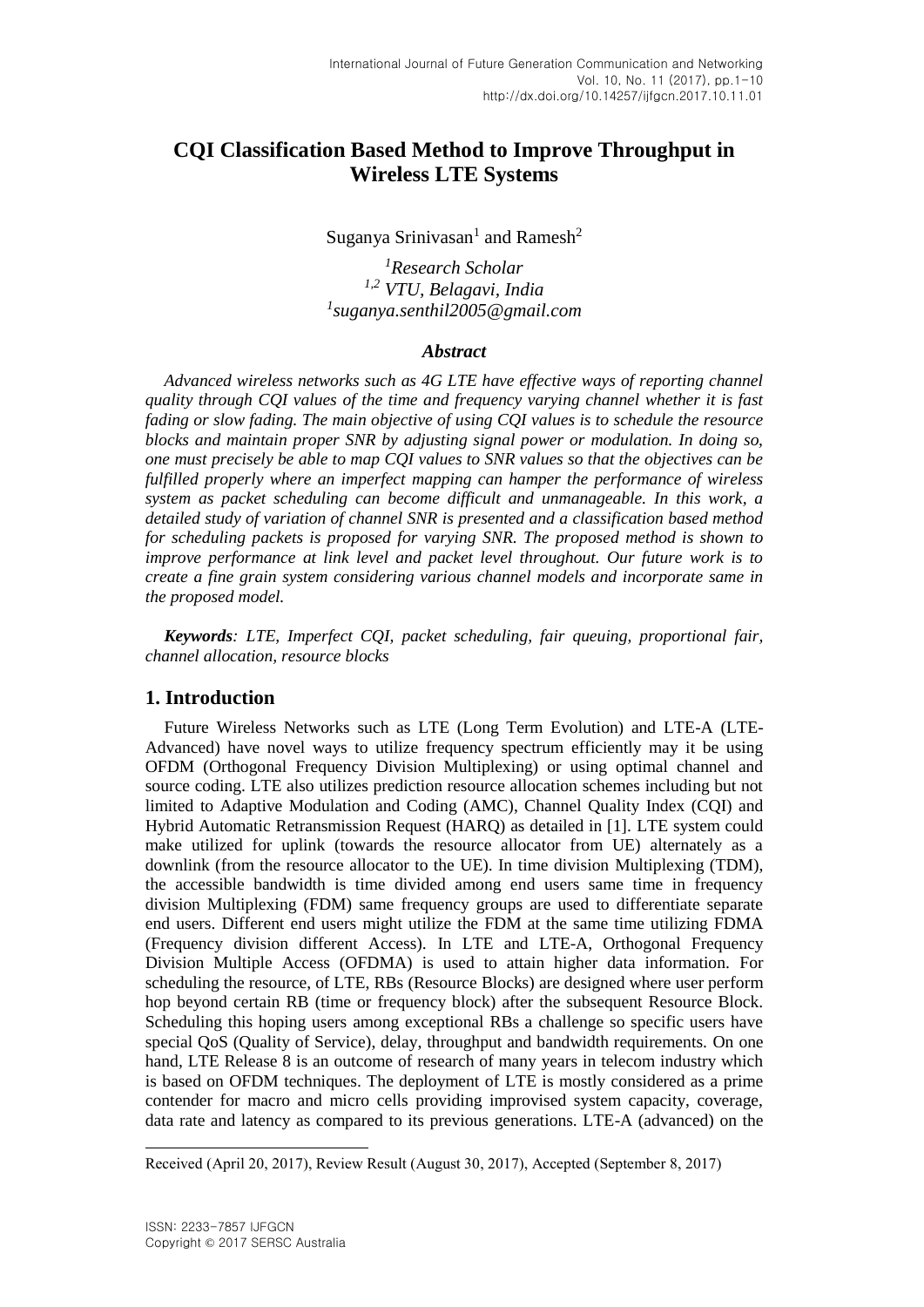# **CQI Classification Based Method to Improve Throughput in Wireless LTE Systems**

## Suganya Srinivasan<sup>1</sup> and Ramesh<sup>2</sup>

*<sup>1</sup>Research Scholar 1,2 VTU, Belagavi, India 1 suganya.senthil2005@gmail.com*

## *Abstract*

*Advanced wireless networks such as 4G LTE have effective ways of reporting channel quality through CQI values of the time and frequency varying channel whether it is fast fading or slow fading. The main objective of using CQI values is to schedule the resource blocks and maintain proper SNR by adjusting signal power or modulation. In doing so, one must precisely be able to map CQI values to SNR values so that the objectives can be fulfilled properly where an imperfect mapping can hamper the performance of wireless system as packet scheduling can become difficult and unmanageable. In this work, a detailed study of variation of channel SNR is presented and a classification based method for scheduling packets is proposed for varying SNR. The proposed method is shown to improve performance at link level and packet level throughout. Our future work is to create a fine grain system considering various channel models and incorporate same in the proposed model.*

*Keywords: LTE, Imperfect CQI, packet scheduling, fair queuing, proportional fair, channel allocation, resource blocks*

# **1. Introduction**

Future Wireless Networks such as LTE (Long Term Evolution) and LTE-A (LTE-Advanced) have novel ways to utilize frequency spectrum efficiently may it be using OFDM (Orthogonal Frequency Division Multiplexing) or using optimal channel and source coding. LTE also utilizes prediction resource allocation schemes including but not limited to Adaptive Modulation and Coding (AMC), Channel Quality Index (CQI) and Hybrid Automatic Retransmission Request (HARQ) as detailed in [1]. LTE system could make utilized for uplink (towards the resource allocator from UE) alternately as a downlink (from the resource allocator to the UE). In time division Multiplexing (TDM), the accessible bandwidth is time divided among end users same time in frequency division Multiplexing (FDM) same frequency groups are used to differentiate separate end users. Different end users might utilize the FDM at the same time utilizing FDMA (Frequency division different Access). In LTE and LTE-A, Orthogonal Frequency Division Multiple Access (OFDMA) is used to attain higher data information. For scheduling the resource, of LTE, RBs (Resource Blocks) are designed where user perform hop beyond certain RB (time or frequency block) after the subsequent Resource Block. Scheduling this hoping users among exceptional RBs a challenge so specific users have special QoS (Quality of Service), delay, throughput and bandwidth requirements. On one hand, LTE Release 8 is an outcome of research of many years in telecom industry which is based on OFDM techniques. The deployment of LTE is mostly considered as a prime contender for macro and micro cells providing improvised system capacity, coverage, data rate and latency as compared to its previous generations. LTE-A (advanced) on the

l

Received (April 20, 2017), Review Result (August 30, 2017), Accepted (September 8, 2017)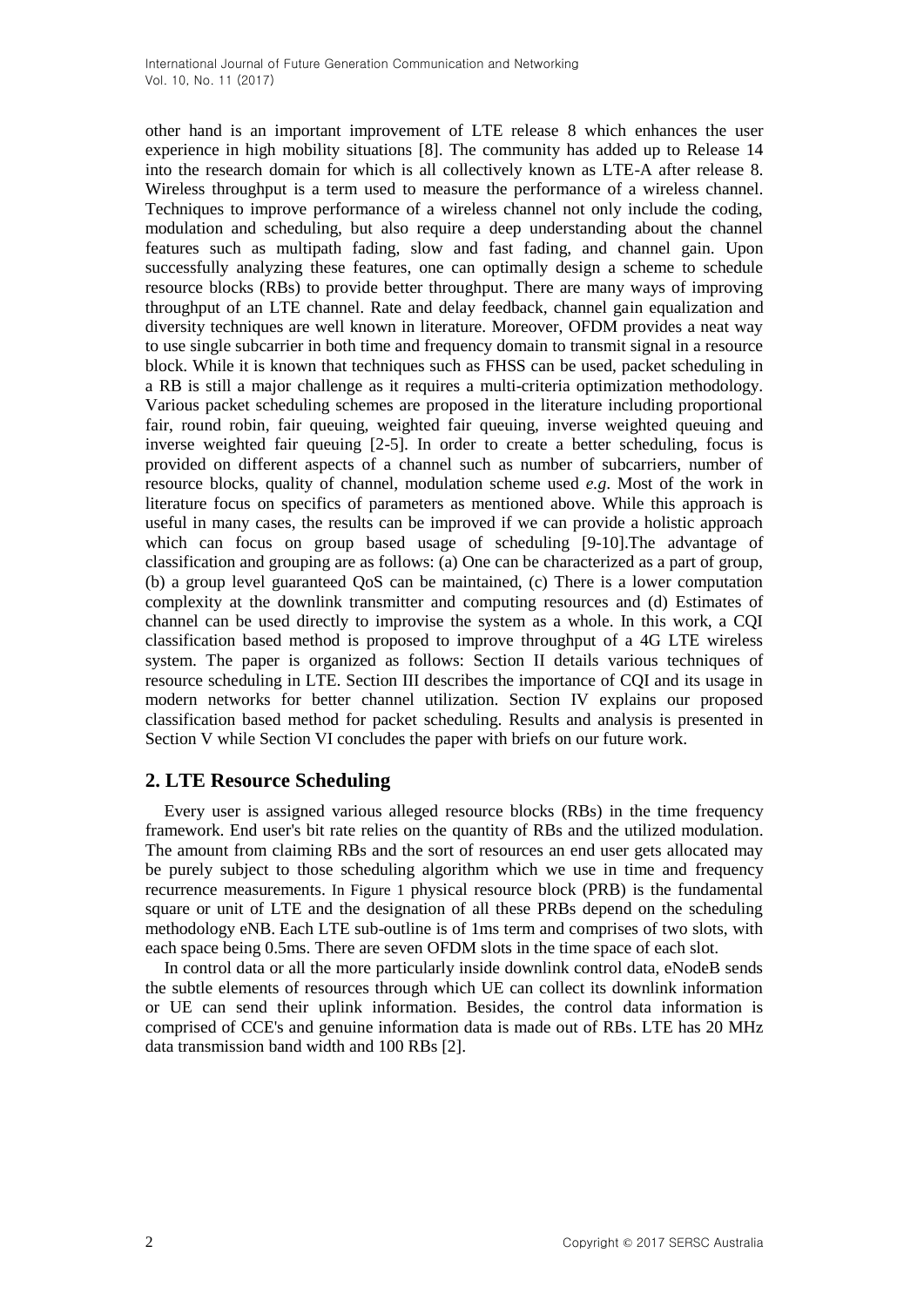other hand is an important improvement of LTE release 8 which enhances the user experience in high mobility situations [8]. The community has added up to Release 14 into the research domain for which is all collectively known as LTE-A after release 8. Wireless throughput is a term used to measure the performance of a wireless channel. Techniques to improve performance of a wireless channel not only include the coding, modulation and scheduling, but also require a deep understanding about the channel features such as multipath fading, slow and fast fading, and channel gain. Upon successfully analyzing these features, one can optimally design a scheme to schedule resource blocks (RBs) to provide better throughput. There are many ways of improving throughput of an LTE channel. Rate and delay feedback, channel gain equalization and diversity techniques are well known in literature. Moreover, OFDM provides a neat way to use single subcarrier in both time and frequency domain to transmit signal in a resource block. While it is known that techniques such as FHSS can be used, packet scheduling in a RB is still a major challenge as it requires a multi-criteria optimization methodology. Various packet scheduling schemes are proposed in the literature including proportional fair, round robin, fair queuing, weighted fair queuing, inverse weighted queuing and inverse weighted fair queuing [2-5]. In order to create a better scheduling, focus is provided on different aspects of a channel such as number of subcarriers, number of resource blocks, quality of channel, modulation scheme used *e.g*. Most of the work in literature focus on specifics of parameters as mentioned above. While this approach is useful in many cases, the results can be improved if we can provide a holistic approach which can focus on group based usage of scheduling [9-10].The advantage of classification and grouping are as follows: (a) One can be characterized as a part of group, (b) a group level guaranteed QoS can be maintained, (c) There is a lower computation complexity at the downlink transmitter and computing resources and (d) Estimates of channel can be used directly to improvise the system as a whole. In this work, a CQI classification based method is proposed to improve throughput of a 4G LTE wireless system. The paper is organized as follows: Section II details various techniques of resource scheduling in LTE. Section III describes the importance of CQI and its usage in modern networks for better channel utilization. Section IV explains our proposed classification based method for packet scheduling. Results and analysis is presented in Section V while Section VI concludes the paper with briefs on our future work.

# **2. LTE Resource Scheduling**

Every user is assigned various alleged resource blocks (RBs) in the time frequency framework. End user's bit rate relies on the quantity of RBs and the utilized modulation. The amount from claiming RBs and the sort of resources an end user gets allocated may be purely subject to those scheduling algorithm which we use in time and frequency recurrence measurements. In Figure 1 physical resource block (PRB) is the fundamental square or unit of LTE and the designation of all these PRBs depend on the scheduling methodology eNB. Each LTE sub-outline is of 1ms term and comprises of two slots, with each space being 0.5ms. There are seven OFDM slots in the time space of each slot.

In control data or all the more particularly inside downlink control data, eNodeB sends the subtle elements of resources through which UE can collect its downlink information or UE can send their uplink information. Besides, the control data information is comprised of CCE's and genuine information data is made out of RBs. LTE has 20 MHz data transmission band width and 100 RBs [2].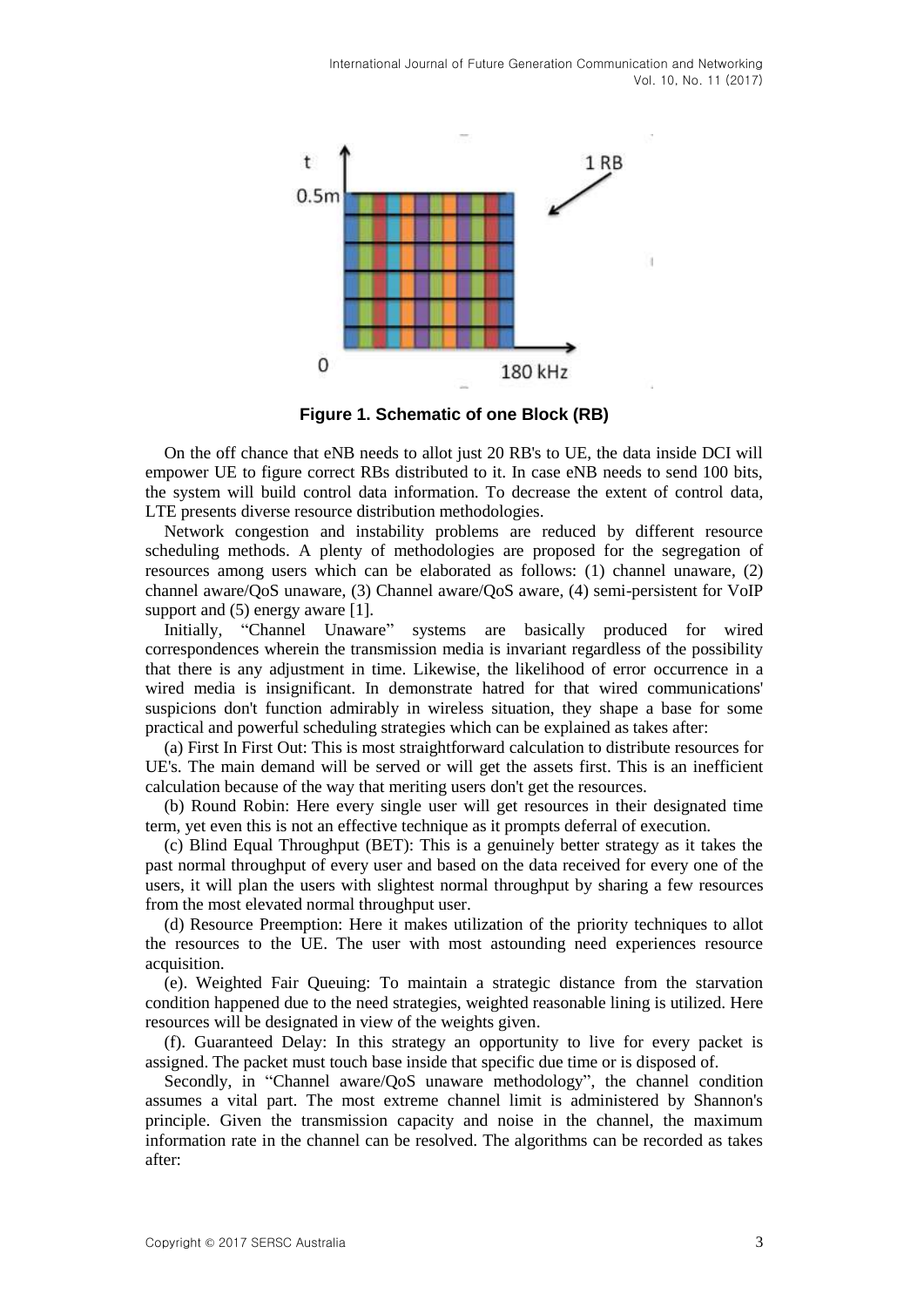

**Figure 1. Schematic of one Block (RB)**

On the off chance that eNB needs to allot just 20 RB's to UE, the data inside DCI will empower UE to figure correct RBs distributed to it. In case eNB needs to send 100 bits, the system will build control data information. To decrease the extent of control data, LTE presents diverse resource distribution methodologies.

Network congestion and instability problems are reduced by different resource scheduling methods. A plenty of methodologies are proposed for the segregation of resources among users which can be elaborated as follows: (1) channel unaware, (2) channel aware/QoS unaware, (3) Channel aware/QoS aware, (4) semi-persistent for VoIP support and  $(5)$  energy aware [1].

Initially, "Channel Unaware" systems are basically produced for wired correspondences wherein the transmission media is invariant regardless of the possibility that there is any adjustment in time. Likewise, the likelihood of error occurrence in a wired media is insignificant. In demonstrate hatred for that wired communications' suspicions don't function admirably in wireless situation, they shape a base for some practical and powerful scheduling strategies which can be explained as takes after:

(a) First In First Out: This is most straightforward calculation to distribute resources for UE's. The main demand will be served or will get the assets first. This is an inefficient calculation because of the way that meriting users don't get the resources.

(b) Round Robin: Here every single user will get resources in their designated time term, yet even this is not an effective technique as it prompts deferral of execution.

(c) Blind Equal Throughput (BET): This is a genuinely better strategy as it takes the past normal throughput of every user and based on the data received for every one of the users, it will plan the users with slightest normal throughput by sharing a few resources from the most elevated normal throughput user.

(d) Resource Preemption: Here it makes utilization of the priority techniques to allot the resources to the UE. The user with most astounding need experiences resource acquisition.

(e). Weighted Fair Queuing: To maintain a strategic distance from the starvation condition happened due to the need strategies, weighted reasonable lining is utilized. Here resources will be designated in view of the weights given.

(f). Guaranteed Delay: In this strategy an opportunity to live for every packet is assigned. The packet must touch base inside that specific due time or is disposed of.

Secondly, in "Channel aware/QoS unaware methodology", the channel condition assumes a vital part. The most extreme channel limit is administered by Shannon's principle. Given the transmission capacity and noise in the channel, the maximum information rate in the channel can be resolved. The algorithms can be recorded as takes after: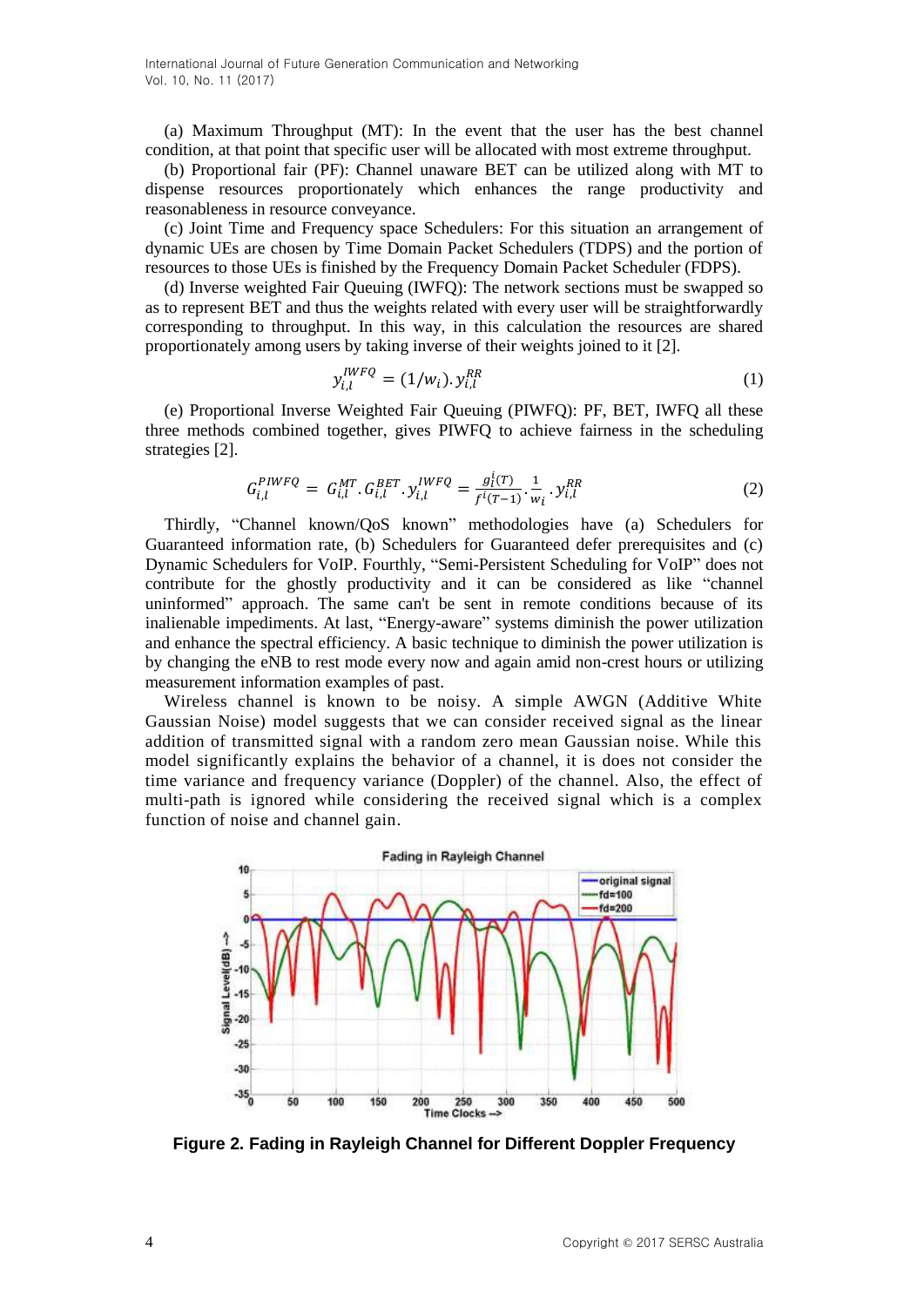(a) Maximum Throughput (MT): In the event that the user has the best channel condition, at that point that specific user will be allocated with most extreme throughput.

(b) Proportional fair (PF): Channel unaware BET can be utilized along with MT to dispense resources proportionately which enhances the range productivity and reasonableness in resource conveyance.

(c) Joint Time and Frequency space Schedulers: For this situation an arrangement of dynamic UEs are chosen by Time Domain Packet Schedulers (TDPS) and the portion of resources to those UEs is finished by the Frequency Domain Packet Scheduler (FDPS).

(d) Inverse weighted Fair Queuing (IWFQ): The network sections must be swapped so as to represent BET and thus the weights related with every user will be straightforwardly corresponding to throughput. In this way, in this calculation the resources are shared proportionately among users by taking inverse of their weights joined to it [2].

$$
y_{i,l}^{IWFQ} = (1/w_i). y_{i,l}^{RR}
$$
 (1)

(e) Proportional Inverse Weighted Fair Queuing (PIWFQ): PF, BET, IWFQ all these three methods combined together, gives PIWFQ to achieve fairness in the scheduling strategies [2].

$$
G_{i,l}^{PIWFQ} = G_{i,l}^{MT} \cdot G_{i,l}^{BET} \cdot y_{i,l}^{IWFQ} = \frac{g_l^i(r)}{f^i(r-1)} \cdot \frac{1}{w_i} \cdot y_{i,l}^{RR}
$$
(2)

Thirdly, "Channel known/QoS known" methodologies have (a) Schedulers for Guaranteed information rate, (b) Schedulers for Guaranteed defer prerequisites and (c) Dynamic Schedulers for VoIP. Fourthly, "Semi-Persistent Scheduling for VoIP" does not contribute for the ghostly productivity and it can be considered as like "channel uninformed" approach. The same can't be sent in remote conditions because of its inalienable impediments. At last, "Energy-aware" systems diminish the power utilization and enhance the spectral efficiency. A basic technique to diminish the power utilization is by changing the eNB to rest mode every now and again amid non-crest hours or utilizing measurement information examples of past.

Wireless channel is known to be noisy. A simple AWGN (Additive White Gaussian Noise) model suggests that we can consider received signal as the linear addition of transmitted signal with a random zero mean Gaussian noise. While this model significantly explains the behavior of a channel, it is does not consider the time variance and frequency variance (Doppler) of the channel. Also, the effect of multi-path is ignored while considering the received signal which is a complex function of noise and channel gain.



**Figure 2. Fading in Rayleigh Channel for Different Doppler Frequency**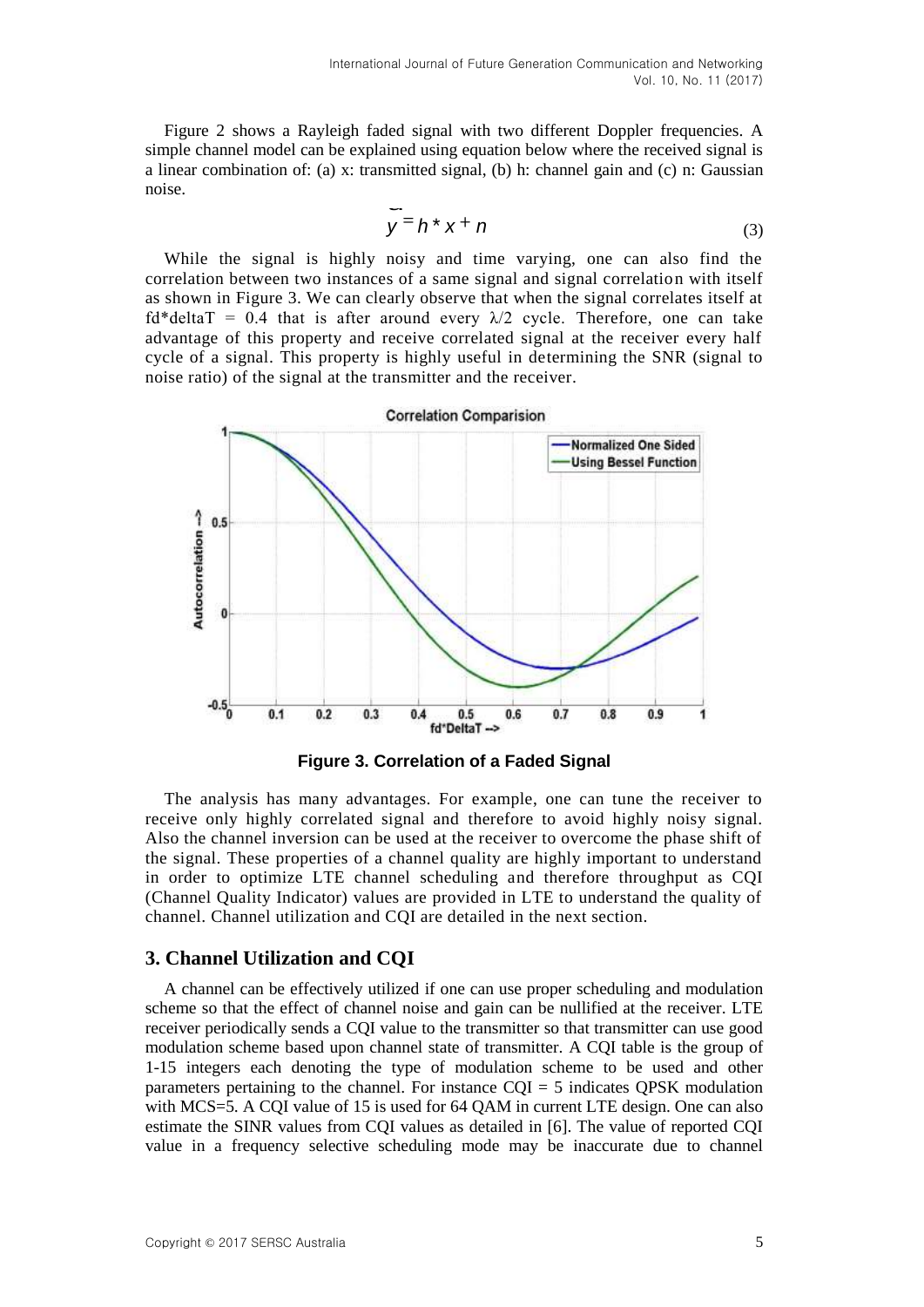Figure 2 shows a Rayleigh faded signal with two different Doppler frequencies. A simple channel model can be explained using equation below where the received signal is a linear combination of: (a) x: transmitted signal, (b) h: channel gain and (c) n: Gaussian noise.

$$
y = h \times x + n \tag{3}
$$

While the signal is highly noisy and time varying, one can also find the correlation between two instances of a same signal and signal correlation with itself as shown in Figure 3. We can clearly observe that when the signal correlates itself at  $fd*deltaT = 0.4$  that is after around every  $\lambda/2$  cycle. Therefore, one can take advantage of this property and receive correlated signal at the receiver every half cycle of a signal. This property is highly useful in determining the SNR (signal to noise ratio) of the signal at the transmitter and the receiver.



**Figure 3. Correlation of a Faded Signal**

The analysis has many advantages. For example, one can tune the receiver to receive only highly correlated signal and therefore to avoid highly noisy signal. Also the channel inversion can be used at the receiver to overcome the phase shift of the signal. These properties of a channel quality are highly important to understand in order to optimize LTE channel scheduling and therefore throughput as CQI (Channel Quality Indicator) values are provided in LTE to understand the quality of channel. Channel utilization and CQI are detailed in the next section.

## **3. Channel Utilization and CQI**

A channel can be effectively utilized if one can use proper scheduling and modulation scheme so that the effect of channel noise and gain can be nullified at the receiver. LTE receiver periodically sends a CQI value to the transmitter so that transmitter can use good modulation scheme based upon channel state of transmitter. A CQI table is the group of 1-15 integers each denoting the type of modulation scheme to be used and other parameters pertaining to the channel. For instance CQI = 5 indicates QPSK modulation with MCS=5. A CQI value of 15 is used for 64 QAM in current LTE design. One can also estimate the SINR values from CQI values as detailed in [6]. The value of reported CQI value in a frequency selective scheduling mode may be inaccurate due to channel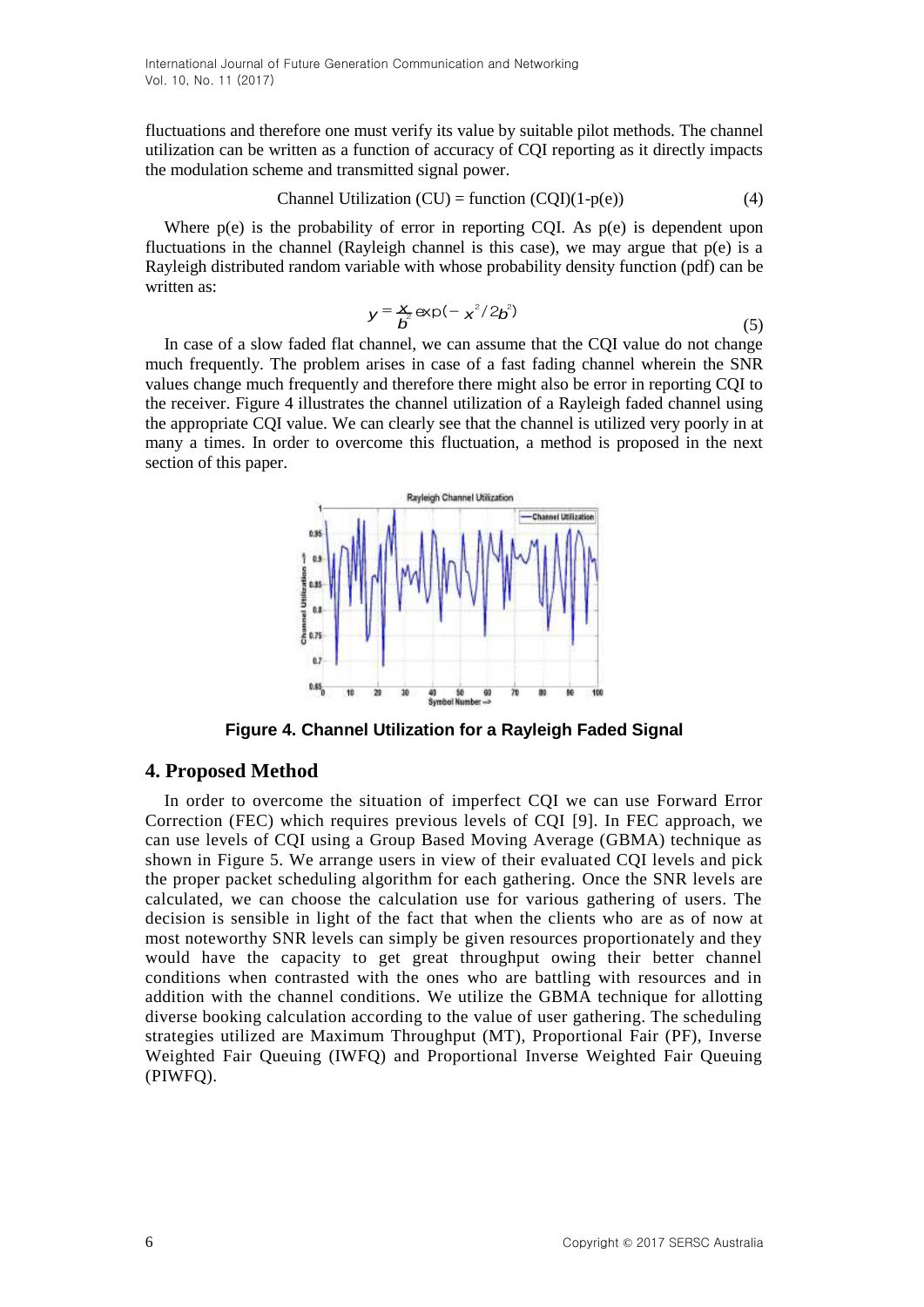fluctuations and therefore one must verify its value by suitable pilot methods. The channel utilization can be written as a function of accuracy of CQI reporting as it directly impacts the modulation scheme and transmitted signal power.

$$
Channel Utilization (CU) = function (CQI)(1-p(e))
$$
\n(4)

Where  $p(e)$  is the probability of error in reporting CQI. As  $p(e)$  is dependent upon fluctuations in the channel (Rayleigh channel is this case), we may argue that  $p(e)$  is a Rayleigh distributed random variable with whose probability density function (pdf) can be written as:

$$
y = \frac{x}{b^2} \exp(-x^2/2b^2)
$$
 (5)

In case of a slow faded flat channel, we can assume that the CQI value do not change much frequently. The problem arises in case of a fast fading channel wherein the SNR values change much frequently and therefore there might also be error in reporting CQI to the receiver. Figure 4 illustrates the channel utilization of a Rayleigh faded channel using the appropriate CQI value. We can clearly see that the channel is utilized very poorly in at many a times. In order to overcome this fluctuation, a method is proposed in the next section of this paper.



**Figure 4. Channel Utilization for a Rayleigh Faded Signal**

## **4. Proposed Method**

In order to overcome the situation of imperfect CQI we can use Forward Error Correction (FEC) which requires previous levels of CQI [9]. In FEC approach, we can use levels of CQI using a Group Based Moving Average (GBMA) technique as shown in Figure 5. We arrange users in view of their evaluated CQI levels and pick the proper packet scheduling algorithm for each gathering. Once the SNR levels are calculated, we can choose the calculation use for various gathering of users. The decision is sensible in light of the fact that when the clients who are as of now at most noteworthy SNR levels can simply be given resources proportionately and they would have the capacity to get great throughput owing their better channel conditions when contrasted with the ones who are battling with resources and in addition with the channel conditions. We utilize the GBMA technique for allotting diverse booking calculation according to the value of user gathering. The scheduling strategies utilized are Maximum Throughput (MT), Proportional Fair (PF), Inverse Weighted Fair Queuing (IWFQ) and Proportional Inverse Weighted Fair Queuing (PIWFQ).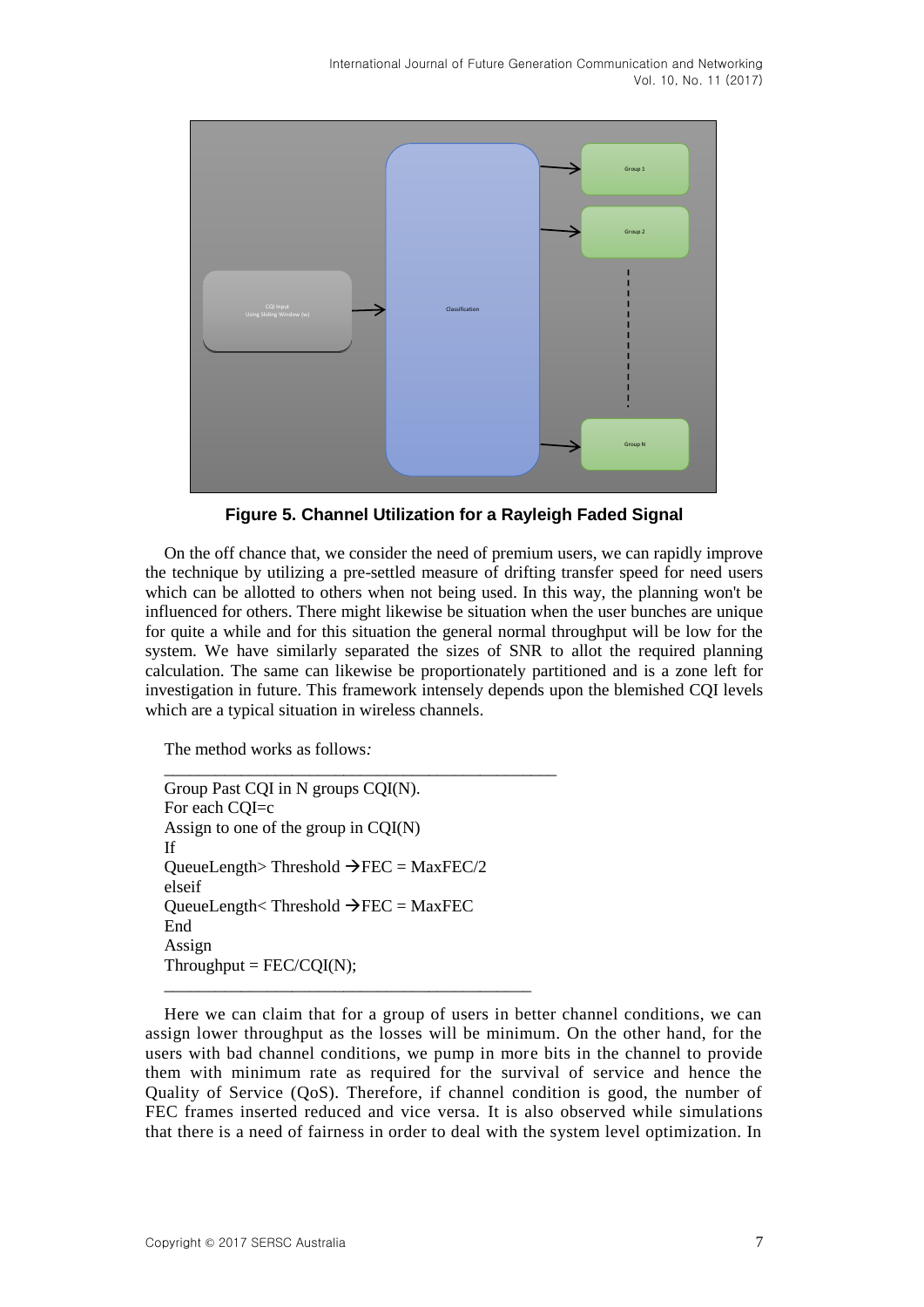International Journal of Future Generation Communication and Networking Vol. 10, No. 11 (2017)



**Figure 5. Channel Utilization for a Rayleigh Faded Signal**

On the off chance that, we consider the need of premium users, we can rapidly improve the technique by utilizing a pre-settled measure of drifting transfer speed for need users which can be allotted to others when not being used. In this way, the planning won't be influenced for others. There might likewise be situation when the user bunches are unique for quite a while and for this situation the general normal throughput will be low for the system. We have similarly separated the sizes of SNR to allot the required planning calculation. The same can likewise be proportionately partitioned and is a zone left for investigation in future. This framework intensely depends upon the blemished CQI levels which are a typical situation in wireless channels.

The method works as follows*:*

Group Past CQI in N groups CQI(N). For each CQI=c Assign to one of the group in CQI(N) If QueueLength> Threshold  $\rightarrow$  FEC = MaxFEC/2 elseif QueueLength< Threshold  $\rightarrow$  FEC = MaxFEC End Assign  $Throughout = FEC/CQI(N);$ 

\_\_\_\_\_\_\_\_\_\_\_\_\_\_\_\_\_\_\_\_\_\_\_\_\_\_\_\_\_\_\_\_\_\_\_\_\_\_\_\_\_\_\_

*\_\_\_\_\_\_\_\_\_\_\_\_\_\_\_\_\_\_\_\_\_\_\_\_\_\_\_\_\_\_\_\_\_\_\_\_\_\_\_\_\_\_\_\_\_\_*

Here we can claim that for a group of users in better channel conditions, we can assign lower throughput as the losses will be minimum. On the other hand, for the users with bad channel conditions, we pump in more bits in the channel to provide them with minimum rate as required for the survival of service and hence the Quality of Service (QoS). Therefore, if channel condition is good, the number of FEC frames inserted reduced and vice versa. It is also observed while simulations that there is a need of fairness in order to deal with the system level optimization. In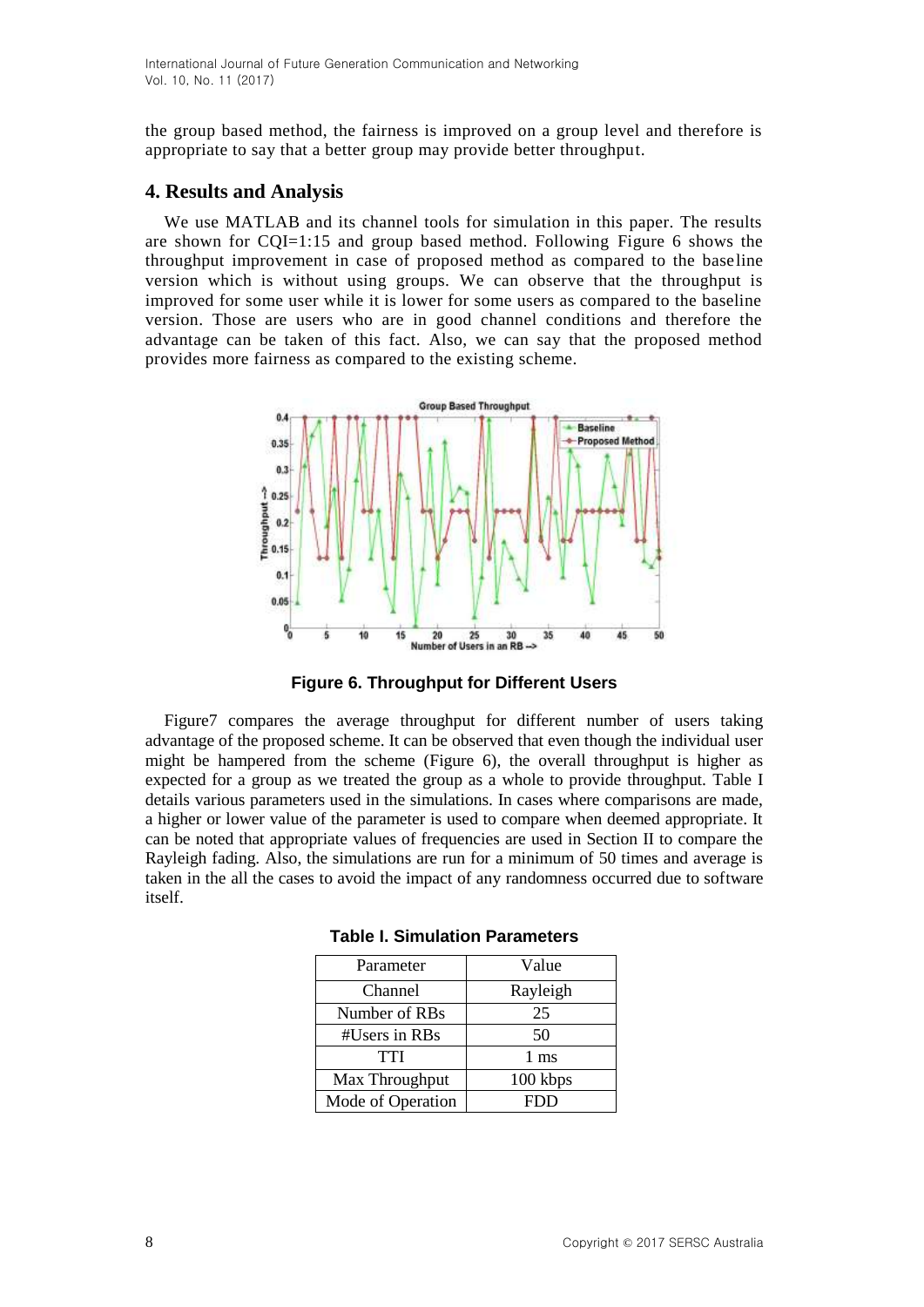International Journal of Future Generation Communication and Networking Vol. 10, No. 11 (2017)

the group based method, the fairness is improved on a group level and therefore is appropriate to say that a better group may provide better throughput.

#### **4. Results and Analysis**

We use MATLAB and its channel tools for simulation in this paper. The results are shown for CQI=1:15 and group based method. Following Figure 6 shows the throughput improvement in case of proposed method as compared to the baseline version which is without using groups. We can observe that the throughput is improved for some user while it is lower for some users as compared to the baseline version. Those are users who are in good channel conditions and therefore the advantage can be taken of this fact. Also, we can say that the proposed method provides more fairness as compared to the existing scheme.



**Figure 6. Throughput for Different Users**

Figure7 compares the average throughput for different number of users taking advantage of the proposed scheme. It can be observed that even though the individual user might be hampered from the scheme (Figure 6), the overall throughput is higher as expected for a group as we treated the group as a whole to provide throughput. Table I details various parameters used in the simulations. In cases where comparisons are made, a higher or lower value of the parameter is used to compare when deemed appropriate. It can be noted that appropriate values of frequencies are used in Section II to compare the Rayleigh fading. Also, the simulations are run for a minimum of 50 times and average is taken in the all the cases to avoid the impact of any randomness occurred due to software itself.

| Parameter         | Value    |
|-------------------|----------|
| Channel           | Rayleigh |
| Number of RBs     | 25       |
| #Users in RBs     | 50       |
| <b>TTI</b>        | 1 ms     |
| Max Throughput    | 100 kbps |
| Mode of Operation | FDD      |

|  |  | <b>Table I. Simulation Parameters</b> |
|--|--|---------------------------------------|
|--|--|---------------------------------------|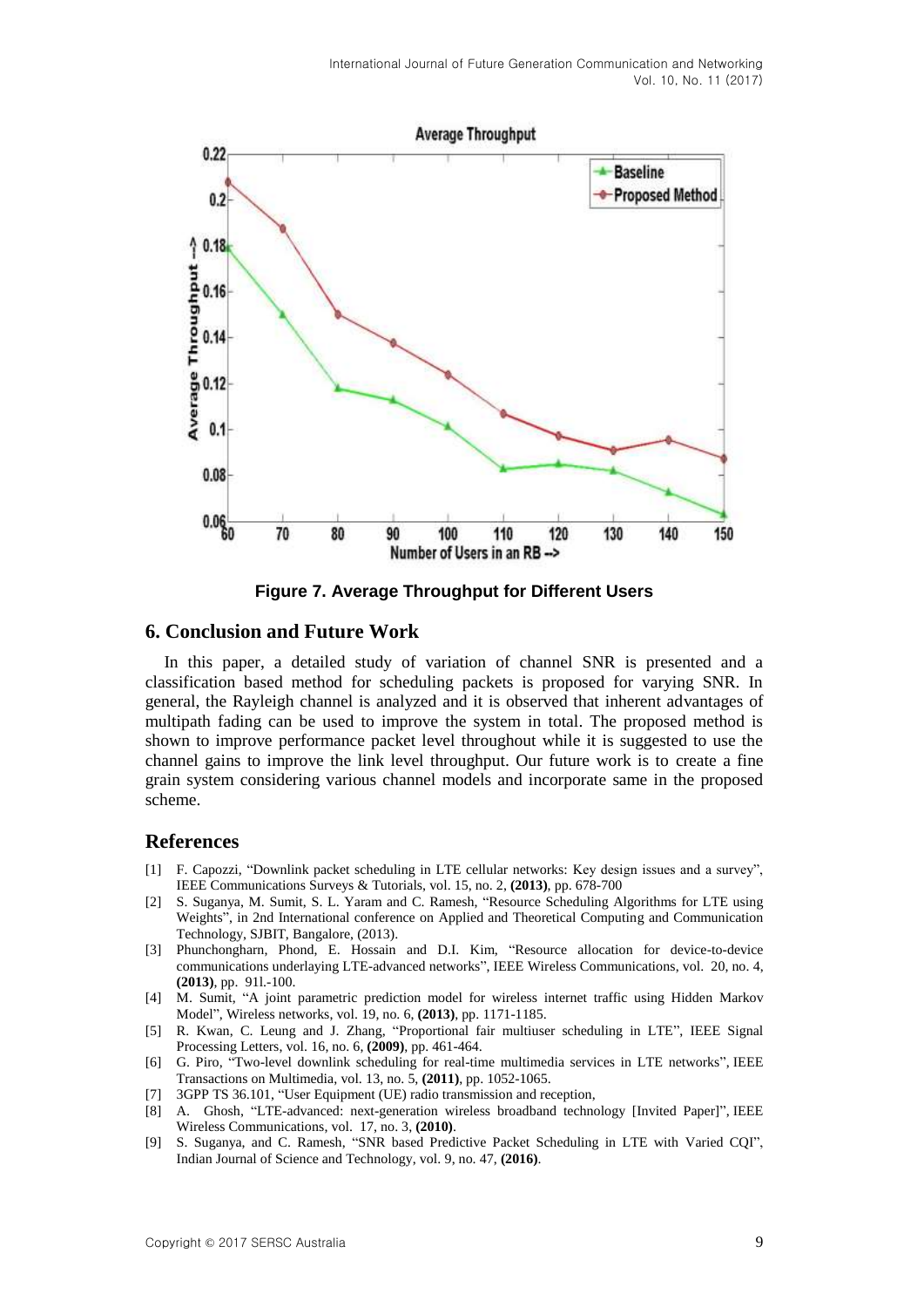

**Figure 7. Average Throughput for Different Users**

#### **6. Conclusion and Future Work**

In this paper, a detailed study of variation of channel SNR is presented and a classification based method for scheduling packets is proposed for varying SNR. In general, the Rayleigh channel is analyzed and it is observed that inherent advantages of multipath fading can be used to improve the system in total. The proposed method is shown to improve performance packet level throughout while it is suggested to use the channel gains to improve the link level throughput. Our future work is to create a fine grain system considering various channel models and incorporate same in the proposed scheme.

#### **References**

- [1] F. Capozzi, "Downlink packet scheduling in LTE cellular networks: Key design issues and a survey", IEEE Communications Surveys & Tutorials, vol. 15, no. 2, **(2013)**, pp. 678-700
- [2] S. Suganya, M. Sumit, S. L. Yaram and C. Ramesh, "Resource Scheduling Algorithms for LTE using Weights", in 2nd International conference on Applied and Theoretical Computing and Communication Technology, SJBIT, Bangalore, (2013).
- [3] Phunchongharn, Phond, E. Hossain and D.I. Kim, "Resource allocation for device-to-device communications underlaying LTE-advanced networks", IEEE Wireless Communications, vol. 20, no. 4, **(2013)**, pp. 91l.-100.
- [4] M. Sumit, "A joint parametric prediction model for wireless internet traffic using Hidden Markov Model", Wireless networks, vol. 19, no. 6, **(2013)**, pp. 1171-1185.
- [5] R. Kwan, C. Leung and J. Zhang, "Proportional fair multiuser scheduling in LTE", IEEE Signal Processing Letters, vol. 16, no. 6, **(2009)**, pp. 461-464.
- [6] G. Piro, "Two-level downlink scheduling for real-time multimedia services in LTE networks", IEEE Transactions on Multimedia, vol. 13, no. 5, **(2011)**, pp. 1052-1065.
- [7] 3GPP TS 36.101, "User Equipment (UE) radio transmission and reception,
- [8] A. Ghosh, "LTE-advanced: next-generation wireless broadband technology [Invited Paper]", IEEE Wireless Communications, vol. 17, no. 3, **(2010)**.
- [9] S. Suganya, and C. Ramesh, "SNR based Predictive Packet Scheduling in LTE with Varied CQI", Indian Journal of Science and Technology, vol. 9, no. 47, **(2016)**.